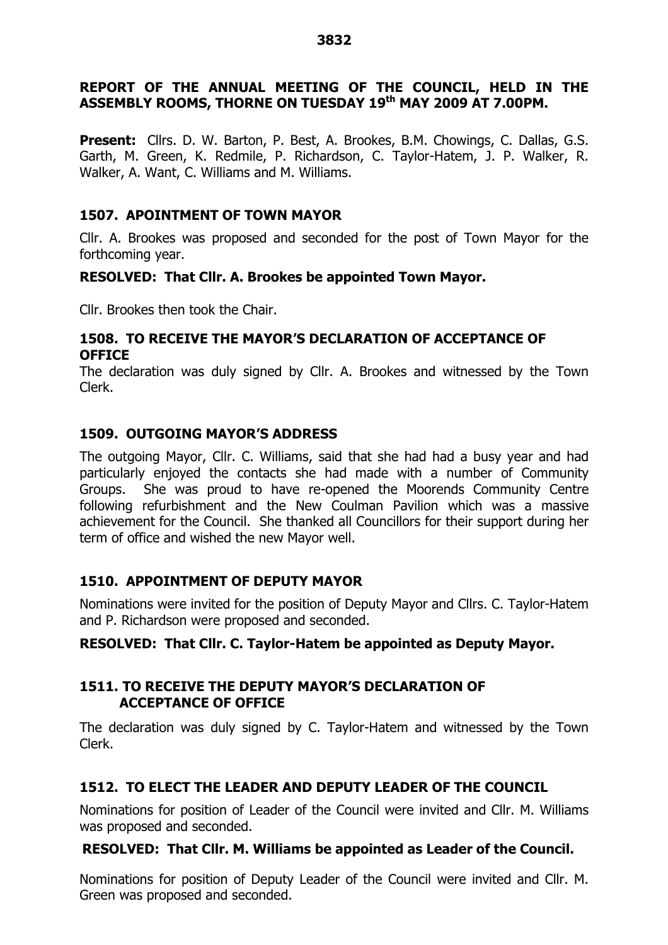# **REPORT OF THE ANNUAL MEETING OF THE COUNCIL, HELD IN THE ASSEMBLY ROOMS, THORNE ON TUESDAY 19 th MAY 2009 AT 7.00PM.**

**Present:** Cllrs. D. W. Barton, P. Best, A. Brookes, B.M. Chowings, C. Dallas, G.S. Garth, M. Green, K. Redmile, P. Richardson, C. Taylor-Hatem, J. P. Walker, R. Walker, A. Want, C. Williams and M. Williams.

# **1507. APOINTMENT OF TOWN MAYOR**

Cllr. A. Brookes was proposed and seconded for the post of Town Mayor for the forthcoming year.

# **RESOLVED: That Cllr. A. Brookes be appointed Town Mayor.**

Cllr. Brookes then took the Chair.

### **1508. TO RECEIVE THE MAYOR'S DECLARATION OF ACCEPTANCE OF OFFICE**

The declaration was duly signed by Cllr. A. Brookes and witnessed by the Town Clerk.

# **1509. OUTGOING MAYOR'S ADDRESS**

The outgoing Mayor, Cllr. C. Williams, said that she had had a busy year and had particularly enjoyed the contacts she had made with a number of Community Groups. She was proud to have re-opened the Moorends Community Centre following refurbishment and the New Coulman Pavilion which was a massive achievement for the Council. She thanked all Councillors for their support during her term of office and wished the new Mayor well.

# **1510. APPOINTMENT OF DEPUTY MAYOR**

Nominations were invited for the position of Deputy Mayor and Cllrs. C. Taylor-Hatem and P. Richardson were proposed and seconded.

# **RESOLVED: That Cllr. C. Taylor-Hatem be appointed as Deputy Mayor.**

# **1511. TO RECEIVE THE DEPUTY MAYOR'S DECLARATION OF ACCEPTANCE OF OFFICE**

The declaration was duly signed by C. Taylor-Hatem and witnessed by the Town Clerk.

# **1512. TO ELECT THE LEADER AND DEPUTY LEADER OF THE COUNCIL**

Nominations for position of Leader of the Council were invited and Cllr. M. Williams was proposed and seconded.

# **RESOLVED: That Cllr. M. Williams be appointed as Leader of the Council.**

Nominations for position of Deputy Leader of the Council were invited and Cllr. M. Green was proposed and seconded.

#### **3832**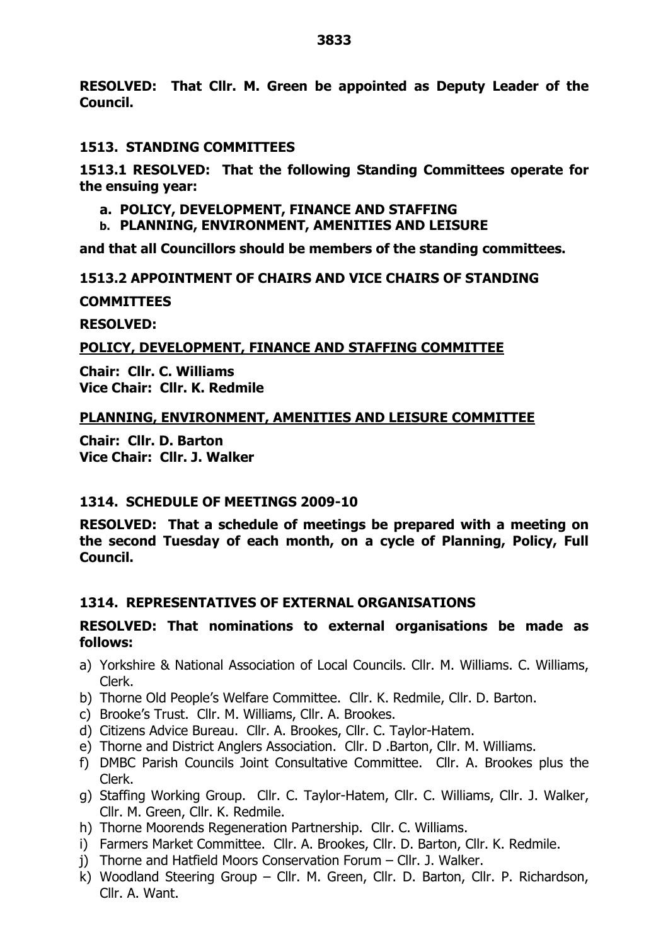**RESOLVED: That Cllr. M. Green be appointed as Deputy Leader of the Council.**

### **1513. STANDING COMMITTEES**

**1513.1 RESOLVED: That the following Standing Committees operate for the ensuing year:**

- **a. POLICY, DEVELOPMENT, FINANCE AND STAFFING**
- **b. PLANNING, ENVIRONMENT, AMENITIES AND LEISURE**

**and that all Councillors should be members of the standing committees.**

### **1513.2 APPOINTMENT OF CHAIRS AND VICE CHAIRS OF STANDING**

**COMMITTEES**

**RESOLVED:**

### **POLICY, DEVELOPMENT, FINANCE AND STAFFING COMMITTEE**

**Chair: Cllr. C. Williams Vice Chair: Cllr. K. Redmile**

### **PLANNING, ENVIRONMENT, AMENITIES AND LEISURE COMMITTEE**

**Chair: Cllr. D. Barton Vice Chair: Cllr. J. Walker**

# **1314. SCHEDULE OF MEETINGS 2009-10**

**RESOLVED: That a schedule of meetings be prepared with a meeting on the second Tuesday of each month, on a cycle of Planning, Policy, Full Council.**

# **1314. REPRESENTATIVES OF EXTERNAL ORGANISATIONS**

### **RESOLVED: That nominations to external organisations be made as follows:**

- a) Yorkshire & National Association of Local Councils. Cllr. M. Williams. C. Williams, Clerk.
- b) Thorne Old People's Welfare Committee. Cllr. K. Redmile, Cllr. D. Barton.
- c) Brooke's Trust. Cllr. M. Williams, Cllr. A. Brookes.
- d) Citizens Advice Bureau. Cllr. A. Brookes, Cllr. C. Taylor-Hatem.
- e) Thorne and District Anglers Association. Cllr. D .Barton, Cllr. M. Williams.
- f) DMBC Parish Councils Joint Consultative Committee. Cllr. A. Brookes plus the Clerk.
- g) Staffing Working Group. Cllr. C. Taylor-Hatem, Cllr. C. Williams, Cllr. J. Walker, Cllr. M. Green, Cllr. K. Redmile.
- h) Thorne Moorends Regeneration Partnership. Cllr. C. Williams.
- i) Farmers Market Committee. Cllr. A. Brookes, Cllr. D. Barton, Cllr. K. Redmile.
- i) Thorne and Hatfield Moors Conservation Forum Cllr. J. Walker.
- k) Woodland Steering Group Cllr. M. Green, Cllr. D. Barton, Cllr. P. Richardson, Cllr. A. Want.